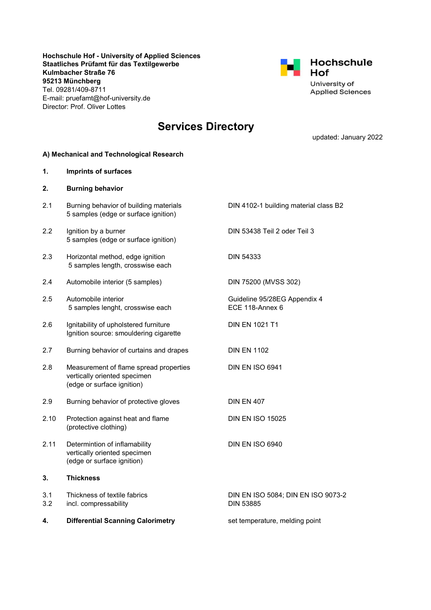Hochschule Hof - University of Applied Sciences Staatliches Prüfamt für das Textilgewerbe Kulmbacher Straße 76 95213 Münchberg Tel. 09281/409-8711 E-mail: pruefamt@hof-university.de Director: Prof. Oliver Lottes



# Services Directory

updated: January 2022

#### A) Mechanical and Technological Research

| 1.         | <b>Imprints of surfaces</b>                                                                          |                                                        |
|------------|------------------------------------------------------------------------------------------------------|--------------------------------------------------------|
| 2.         | <b>Burning behavior</b>                                                                              |                                                        |
| 2.1        | Burning behavior of building materials<br>5 samples (edge or surface ignition)                       | DIN 4102-1 building material class B2                  |
| 2.2        | Ignition by a burner<br>5 samples (edge or surface ignition)                                         | DIN 53438 Teil 2 oder Teil 3                           |
| 2.3        | Horizontal method, edge ignition<br>5 samples length, crosswise each                                 | <b>DIN 54333</b>                                       |
| 2.4        | Automobile interior (5 samples)                                                                      | DIN 75200 (MVSS 302)                                   |
| 2.5        | Automobile interior<br>5 samples lenght, crosswise each                                              | Guideline 95/28EG Appendix 4<br>ECE 118-Annex 6        |
| 2.6        | Ignitability of upholstered furniture<br>Ignition source: smouldering cigarette                      | <b>DIN EN 1021 T1</b>                                  |
| 2.7        | Burning behavior of curtains and drapes                                                              | <b>DIN EN 1102</b>                                     |
| 2.8        | Measurement of flame spread properties<br>vertically oriented specimen<br>(edge or surface ignition) | DIN EN ISO 6941                                        |
| 2.9        | Burning behavior of protective gloves                                                                | <b>DIN EN 407</b>                                      |
| 2.10       | Protection against heat and flame<br>(protective clothing)                                           | <b>DIN EN ISO 15025</b>                                |
| 2.11       | Determintion of inflamability<br>vertically oriented specimen<br>(edge or surface ignition)          | <b>DIN EN ISO 6940</b>                                 |
| 3.         | <b>Thickness</b>                                                                                     |                                                        |
| 3.1<br>3.2 | Thickness of textile fabrics<br>incl. compressability                                                | DIN EN ISO 5084; DIN EN ISO 9073-2<br><b>DIN 53885</b> |
| 4.         | <b>Differential Scanning Calorimetry</b>                                                             | set temperature, melding point                         |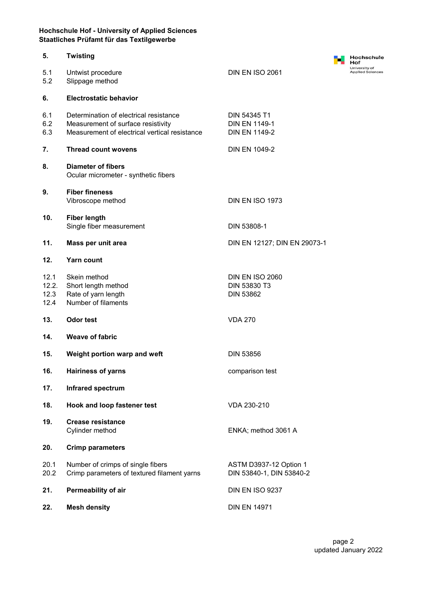| 5.                            | <b>Twisting</b>                                                                                                               |                                                              | Hochschule<br>Hof                        |
|-------------------------------|-------------------------------------------------------------------------------------------------------------------------------|--------------------------------------------------------------|------------------------------------------|
| 5.1<br>5.2                    | Untwist procedure<br>Slippage method                                                                                          | DIN EN ISO 2061                                              | University of<br><b>Applied Sciences</b> |
| 6.                            | <b>Electrostatic behavior</b>                                                                                                 |                                                              |                                          |
| 6.1<br>6.2<br>6.3             | Determination of electrical resistance<br>Measurement of surface resistivity<br>Measurement of electrical vertical resistance | DIN 54345 T1<br><b>DIN EN 1149-1</b><br><b>DIN EN 1149-2</b> |                                          |
| 7.                            | <b>Thread count wovens</b>                                                                                                    | <b>DIN EN 1049-2</b>                                         |                                          |
| 8.                            | <b>Diameter of fibers</b><br>Ocular micrometer - synthetic fibers                                                             |                                                              |                                          |
| 9.                            | <b>Fiber fineness</b><br>Vibroscope method                                                                                    | <b>DIN EN ISO 1973</b>                                       |                                          |
| 10.                           | <b>Fiber length</b><br>Single fiber measurement                                                                               | DIN 53808-1                                                  |                                          |
| 11.                           | Mass per unit area                                                                                                            | DIN EN 12127; DIN EN 29073-1                                 |                                          |
| 12.                           | <b>Yarn count</b>                                                                                                             |                                                              |                                          |
| 12.1<br>12.2.<br>12.3<br>12.4 | Skein method<br>Short length method<br>Rate of yarn length<br>Number of filaments                                             | <b>DIN EN ISO 2060</b><br>DIN 53830 T3<br><b>DIN 53862</b>   |                                          |
| 13.                           | Odor test                                                                                                                     | <b>VDA 270</b>                                               |                                          |
| 14.                           | <b>Weave of fabric</b>                                                                                                        |                                                              |                                          |
| 15.                           | Weight portion warp and weft                                                                                                  | <b>DIN 53856</b>                                             |                                          |
| 16.                           | <b>Hairiness of yarns</b>                                                                                                     | comparison test                                              |                                          |
| 17.                           | Infrared spectrum                                                                                                             |                                                              |                                          |
| 18.                           | Hook and loop fastener test                                                                                                   | VDA 230-210                                                  |                                          |
| 19.                           | <b>Crease resistance</b><br>Cylinder method                                                                                   | ENKA; method 3061 A                                          |                                          |
| 20.                           | <b>Crimp parameters</b>                                                                                                       |                                                              |                                          |
| 20.1<br>20.2                  | Number of crimps of single fibers<br>Crimp parameters of textured filament yarns                                              | ASTM D3937-12 Option 1<br>DIN 53840-1, DIN 53840-2           |                                          |
| 21.                           | Permeability of air                                                                                                           | DIN EN ISO 9237                                              |                                          |
| 22.                           | <b>Mesh density</b>                                                                                                           | <b>DIN EN 14971</b>                                          |                                          |
|                               |                                                                                                                               |                                                              |                                          |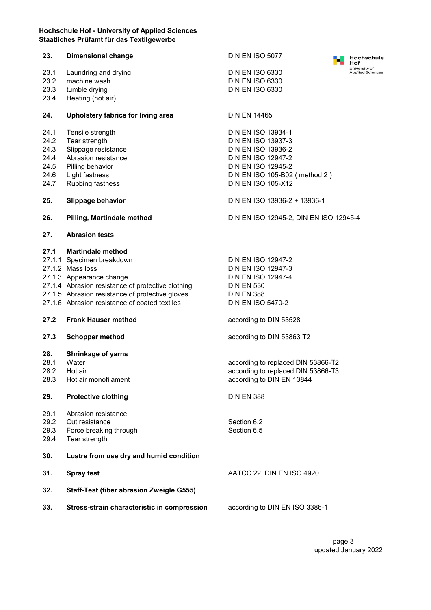| 23.          | <b>Dimensional change</b>                         | DIN EN ISO 5077                        | Hochschule<br>Hof                        |
|--------------|---------------------------------------------------|----------------------------------------|------------------------------------------|
| 23.1         | Laundring and drying                              | <b>DIN EN ISO 6330</b>                 | University of<br><b>Applied Sciences</b> |
| 23.2         | machine wash                                      | <b>DIN EN ISO 6330</b>                 |                                          |
| 23.3         | tumble drying                                     | <b>DIN EN ISO 6330</b>                 |                                          |
| 23.4         | Heating (hot air)                                 |                                        |                                          |
| 24.          | Upholstery fabrics for living area                | <b>DIN EN 14465</b>                    |                                          |
| 24.1         | Tensile strength                                  | <b>DIN EN ISO 13934-1</b>              |                                          |
| 24.2         | Tear strength                                     | <b>DIN EN ISO 13937-3</b>              |                                          |
| 24.3         | Slippage resistance                               | <b>DIN EN ISO 13936-2</b>              |                                          |
| 24.4         | Abrasion resistance                               | <b>DIN EN ISO 12947-2</b>              |                                          |
| 24.5         | Pilling behavior                                  | <b>DIN EN ISO 12945-2</b>              |                                          |
| 24.6         | Light fastness                                    | DIN EN ISO 105-B02 (method 2)          |                                          |
| 24.7         | Rubbing fastness                                  | <b>DIN EN ISO 105-X12</b>              |                                          |
| 25.          | <b>Slippage behavior</b>                          | DIN EN ISO 13936-2 + 13936-1           |                                          |
| 26.          | Pilling, Martindale method                        | DIN EN ISO 12945-2, DIN EN ISO 12945-4 |                                          |
| 27.          | <b>Abrasion tests</b>                             |                                        |                                          |
| 27.1         | <b>Martindale method</b>                          |                                        |                                          |
|              | 27.1.1 Specimen breakdown                         | <b>DIN EN ISO 12947-2</b>              |                                          |
|              | 27.1.2 Mass loss                                  | <b>DIN EN ISO 12947-3</b>              |                                          |
|              | 27.1.3 Appearance change                          | <b>DIN EN ISO 12947-4</b>              |                                          |
|              | 27.1.4 Abrasion resistance of protective clothing | <b>DIN EN 530</b>                      |                                          |
|              | 27.1.5 Abrasion resistance of protective gloves   | <b>DIN EN 388</b>                      |                                          |
|              | 27.1.6 Abrasion resistance of coated textiles     | <b>DIN EN ISO 5470-2</b>               |                                          |
| 27.2         | <b>Frank Hauser method</b>                        | according to DIN 53528                 |                                          |
| 27.3         | <b>Schopper method</b>                            | according to DIN 53863 T2              |                                          |
| 28.          | <b>Shrinkage of yarns</b>                         |                                        |                                          |
| 28.1         | Water                                             | according to replaced DIN 53866-T2     |                                          |
| 28.2         | Hot air                                           | according to replaced DIN 53866-T3     |                                          |
| 28.3         | Hot air monofilament                              | according to DIN EN 13844              |                                          |
| 29.          | <b>Protective clothing</b>                        | <b>DIN EN 388</b>                      |                                          |
| 29.1         | Abrasion resistance                               |                                        |                                          |
| 29.2         | Cut resistance                                    | Section 6.2                            |                                          |
| 29.3<br>29.4 | Force breaking through<br>Tear strength           | Section 6.5                            |                                          |
| 30.          | Lustre from use dry and humid condition           |                                        |                                          |
| 31.          | <b>Spray test</b>                                 | AATCC 22, DIN EN ISO 4920              |                                          |
| 32.          | Staff-Test (fiber abrasion Zweigle G555)          |                                        |                                          |
| 33.          | Stress-strain characteristic in compression       | according to DIN EN ISO 3386-1         |                                          |
|              |                                                   |                                        |                                          |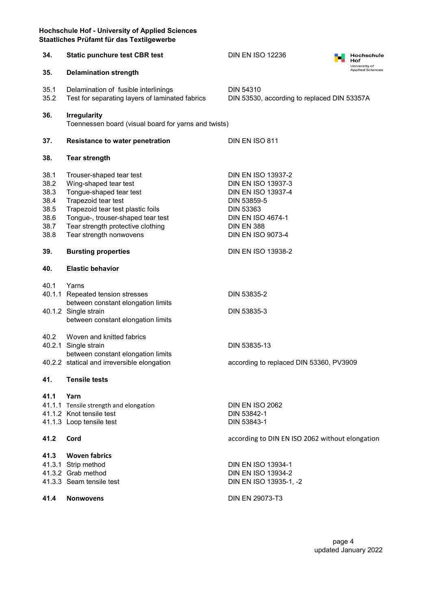| 34.                                                          | <b>Static punchure test CBR test</b>                                                                                                                                                                                                          | <b>DIN EN ISO 12236</b>                                                                                                                                                                             | Hochschule<br>Hof                        |  |
|--------------------------------------------------------------|-----------------------------------------------------------------------------------------------------------------------------------------------------------------------------------------------------------------------------------------------|-----------------------------------------------------------------------------------------------------------------------------------------------------------------------------------------------------|------------------------------------------|--|
| 35.                                                          | <b>Delamination strength</b>                                                                                                                                                                                                                  |                                                                                                                                                                                                     | University of<br><b>Applied Sciences</b> |  |
| 35.1<br>35.2                                                 | Delamination of fusible interlinings<br>Test for separating layers of laminated fabrics                                                                                                                                                       | <b>DIN 54310</b><br>DIN 53530, according to replaced DIN 53357A                                                                                                                                     |                                          |  |
| 36.                                                          | <b>Irregularity</b><br>Toennessen board (visual board for yarns and twists)                                                                                                                                                                   |                                                                                                                                                                                                     |                                          |  |
| 37.                                                          | <b>Resistance to water penetration</b>                                                                                                                                                                                                        | DIN EN ISO 811                                                                                                                                                                                      |                                          |  |
| 38.                                                          | <b>Tear strength</b>                                                                                                                                                                                                                          |                                                                                                                                                                                                     |                                          |  |
| 38.1<br>38.2<br>38.3<br>38.4<br>38.5<br>38.6<br>38.7<br>38.8 | Trouser-shaped tear test<br>Wing-shaped tear test<br>Tongue-shaped tear test<br>Trapezoid tear test<br>Trapezoid tear test plastic foils<br>Tongue-, trouser-shaped tear test<br>Tear strength protective clothing<br>Tear strength nonwovens | <b>DIN EN ISO 13937-2</b><br><b>DIN EN ISO 13937-3</b><br><b>DIN EN ISO 13937-4</b><br>DIN 53859-5<br><b>DIN 53363</b><br><b>DIN EN ISO 4674-1</b><br><b>DIN EN 388</b><br><b>DIN EN ISO 9073-4</b> |                                          |  |
| 39.                                                          | <b>Bursting properties</b>                                                                                                                                                                                                                    | <b>DIN EN ISO 13938-2</b>                                                                                                                                                                           |                                          |  |
| 40.                                                          | <b>Elastic behavior</b>                                                                                                                                                                                                                       |                                                                                                                                                                                                     |                                          |  |
| 40.1                                                         | Yarns<br>40.1.1 Repeated tension stresses<br>between constant elongation limits<br>40.1.2 Single strain<br>between constant elongation limits                                                                                                 | DIN 53835-2<br>DIN 53835-3                                                                                                                                                                          |                                          |  |
| 40.2                                                         | Woven and knitted fabrics<br>40.2.1 Single strain<br>between constant elongation limits<br>40.2.2 statical and irreversible elongation                                                                                                        | DIN 53835-13<br>according to replaced DIN 53360, PV3909                                                                                                                                             |                                          |  |
| 41.                                                          | <b>Tensile tests</b>                                                                                                                                                                                                                          |                                                                                                                                                                                                     |                                          |  |
| 41.1                                                         | Yarn<br>41.1.1 Tensile strength and elongation<br>41.1.2 Knot tensile test<br>41.1.3 Loop tensile test                                                                                                                                        | <b>DIN EN ISO 2062</b><br>DIN 53842-1<br>DIN 53843-1                                                                                                                                                |                                          |  |
| 41.2                                                         | Cord                                                                                                                                                                                                                                          | according to DIN EN ISO 2062 without elongation                                                                                                                                                     |                                          |  |
| 41.3<br>41.4                                                 | <b>Woven fabrics</b><br>41.3.1 Strip method<br>41.3.2 Grab method<br>41.3.3 Seam tensile test<br><b>Nonwovens</b>                                                                                                                             | <b>DIN EN ISO 13934-1</b><br><b>DIN EN ISO 13934-2</b><br>DIN EN ISO 13935-1, -2<br>DIN EN 29073-T3                                                                                                 |                                          |  |
|                                                              |                                                                                                                                                                                                                                               |                                                                                                                                                                                                     |                                          |  |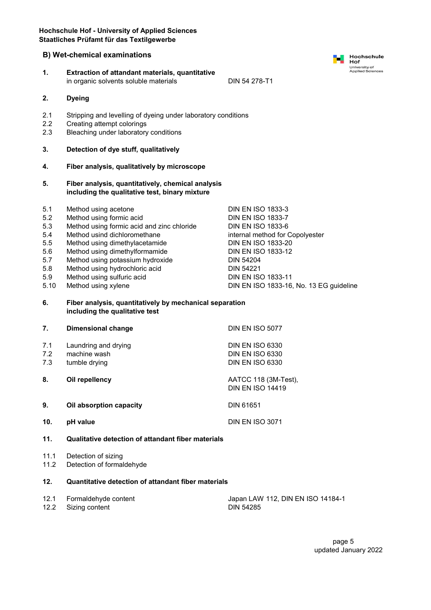1. Extraction of attandant materials, quantitative

#### B) Wet-chemical examinations

|                                                                     | in organic solvents soluble materials                                                                                                                                                                                                                                                                                         | DIN 54 278-T1                                                                                                                                                                                                                                                                                 |  |
|---------------------------------------------------------------------|-------------------------------------------------------------------------------------------------------------------------------------------------------------------------------------------------------------------------------------------------------------------------------------------------------------------------------|-----------------------------------------------------------------------------------------------------------------------------------------------------------------------------------------------------------------------------------------------------------------------------------------------|--|
| 2.                                                                  | <b>Dyeing</b>                                                                                                                                                                                                                                                                                                                 |                                                                                                                                                                                                                                                                                               |  |
| 2.1<br>$2.2\phantom{0}$<br>2.3                                      | Stripping and levelling of dyeing under laboratory conditions<br>Creating attempt colorings<br>Bleaching under laboratory conditions                                                                                                                                                                                          |                                                                                                                                                                                                                                                                                               |  |
| 3.                                                                  | Detection of dye stuff, qualitatively                                                                                                                                                                                                                                                                                         |                                                                                                                                                                                                                                                                                               |  |
| 4.                                                                  | Fiber analysis, qualitatively by microscope                                                                                                                                                                                                                                                                                   |                                                                                                                                                                                                                                                                                               |  |
| 5.                                                                  | Fiber analysis, quantitatively, chemical analysis<br>including the qualitative test, binary mixture                                                                                                                                                                                                                           |                                                                                                                                                                                                                                                                                               |  |
| 5.1<br>5.2<br>5.3<br>5.4<br>5.5<br>5.6<br>5.7<br>5.8<br>5.9<br>5.10 | Method using acetone<br>Method using formic acid<br>Method using formic acid and zinc chloride<br>Method usind dichloromethane<br>Method using dimethylacetamide<br>Method using dimethylformamide<br>Method using potassium hydroxide<br>Method using hydrochloric acid<br>Method using sulfuric acid<br>Method using xylene | <b>DIN EN ISO 1833-3</b><br><b>DIN EN ISO 1833-7</b><br><b>DIN EN ISO 1833-6</b><br>internal method for Copolyester<br><b>DIN EN ISO 1833-20</b><br><b>DIN EN ISO 1833-12</b><br><b>DIN 54204</b><br><b>DIN 54221</b><br><b>DIN EN ISO 1833-11</b><br>DIN EN ISO 1833-16, No. 13 EG guideline |  |
| 6.                                                                  | Fiber analysis, quantitatively by mechanical separation<br>including the qualitative test                                                                                                                                                                                                                                     |                                                                                                                                                                                                                                                                                               |  |
| 7.                                                                  | <b>Dimensional change</b>                                                                                                                                                                                                                                                                                                     | <b>DIN EN ISO 5077</b>                                                                                                                                                                                                                                                                        |  |
| 7.1<br>7.2<br>7.3                                                   | Laundring and drying<br>machine wash<br>tumble drying                                                                                                                                                                                                                                                                         | <b>DIN EN ISO 6330</b><br><b>DIN EN ISO 6330</b><br><b>DIN EN ISO 6330</b>                                                                                                                                                                                                                    |  |
| 8.                                                                  | Oil repellency                                                                                                                                                                                                                                                                                                                | AATCC 118 (3M-Test),<br><b>DIN EN ISO 14419</b>                                                                                                                                                                                                                                               |  |
| 9.                                                                  | Oil absorption capacity                                                                                                                                                                                                                                                                                                       | <b>DIN 61651</b>                                                                                                                                                                                                                                                                              |  |
| 10.                                                                 | pH value                                                                                                                                                                                                                                                                                                                      | <b>DIN EN ISO 3071</b>                                                                                                                                                                                                                                                                        |  |
| 11.                                                                 | Qualitative detection of attandant fiber materials                                                                                                                                                                                                                                                                            |                                                                                                                                                                                                                                                                                               |  |
| 11.1<br>11.2                                                        | Detection of sizing<br>Detection of formaldehyde                                                                                                                                                                                                                                                                              |                                                                                                                                                                                                                                                                                               |  |
| 12.                                                                 | Quantitative detection of attandant fiber materials                                                                                                                                                                                                                                                                           |                                                                                                                                                                                                                                                                                               |  |
| 12.1<br>12.2                                                        | Formaldehyde content<br>Sizing content                                                                                                                                                                                                                                                                                        | Japan LAW 112, DIN EN ISO 14184-1<br>DIN 54285                                                                                                                                                                                                                                                |  |

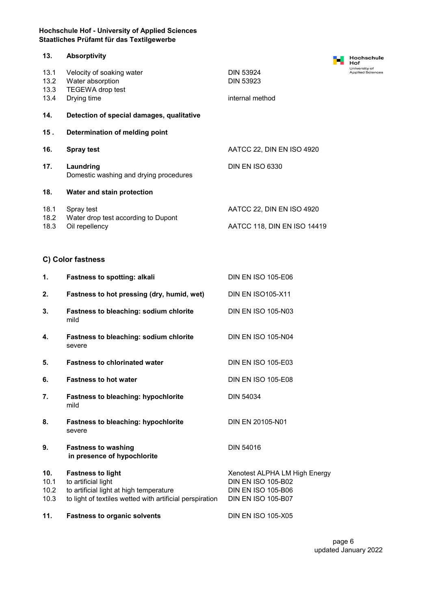| 13.          | <b>Absorptivity</b>                                 |                                      |  |
|--------------|-----------------------------------------------------|--------------------------------------|--|
| 13.1<br>13.2 | Velocity of soaking water<br>Water absorption       | <b>DIN 53924</b><br><b>DIN 53923</b> |  |
| 13.3<br>13.4 | TEGEWA drop test<br>Drying time                     | internal method                      |  |
| 14.          | Detection of special damages, qualitative           |                                      |  |
| 15.          | Determination of melding point                      |                                      |  |
| 16.          | <b>Spray test</b>                                   | AATCC 22, DIN EN ISO 4920            |  |
| 17.          | Laundring<br>Domestic washing and drying procedures | <b>DIN EN ISO 6330</b>               |  |
| 18.          | Water and stain protection                          |                                      |  |
| 18.1<br>18.2 | Spray test<br>Water drop test according to Dupont   | AATCC 22, DIN EN ISO 4920            |  |
| 18.3         | Oil repellency                                      | AATCC 118, DIN EN ISO 14419          |  |

## C) Color fastness

| 1.                          | <b>Fastness to spotting: alkali</b>                                                                                                                    | <b>DIN EN ISO 105-E06</b>                                                                                            |
|-----------------------------|--------------------------------------------------------------------------------------------------------------------------------------------------------|----------------------------------------------------------------------------------------------------------------------|
| 2.                          | Fastness to hot pressing (dry, humid, wet)                                                                                                             | <b>DIN EN ISO105-X11</b>                                                                                             |
| 3.                          | <b>Fastness to bleaching: sodium chlorite</b><br>mild                                                                                                  | <b>DIN EN ISO 105-N03</b>                                                                                            |
| 4.                          | Fastness to bleaching: sodium chlorite<br>severe                                                                                                       | <b>DIN EN ISO 105-N04</b>                                                                                            |
| 5.                          | <b>Fastness to chlorinated water</b>                                                                                                                   | <b>DIN EN ISO 105-E03</b>                                                                                            |
| 6.                          | <b>Fastness to hot water</b>                                                                                                                           | <b>DIN EN ISO 105-E08</b>                                                                                            |
| 7.                          | <b>Fastness to bleaching: hypochlorite</b><br>mild                                                                                                     | <b>DIN 54034</b>                                                                                                     |
| 8.                          | <b>Fastness to bleaching: hypochlorite</b><br>severe                                                                                                   | DIN EN 20105-N01                                                                                                     |
| 9.                          | <b>Fastness to washing</b><br>in presence of hypochlorite                                                                                              | DIN 54016                                                                                                            |
| 10.<br>10.1<br>10.2<br>10.3 | <b>Fastness to light</b><br>to artificial light<br>to artificial light at high temperature<br>to light of textiles wetted with artificial perspiration | Xenotest ALPHA LM High Energy<br><b>DIN EN ISO 105-B02</b><br><b>DIN EN ISO 105-B06</b><br><b>DIN EN ISO 105-B07</b> |
| 11.                         | <b>Fastness to organic solvents</b>                                                                                                                    | <b>DIN EN ISO 105-X05</b>                                                                                            |

**Hochschule<br>Hof**<br>University of<br>Applied Sciences